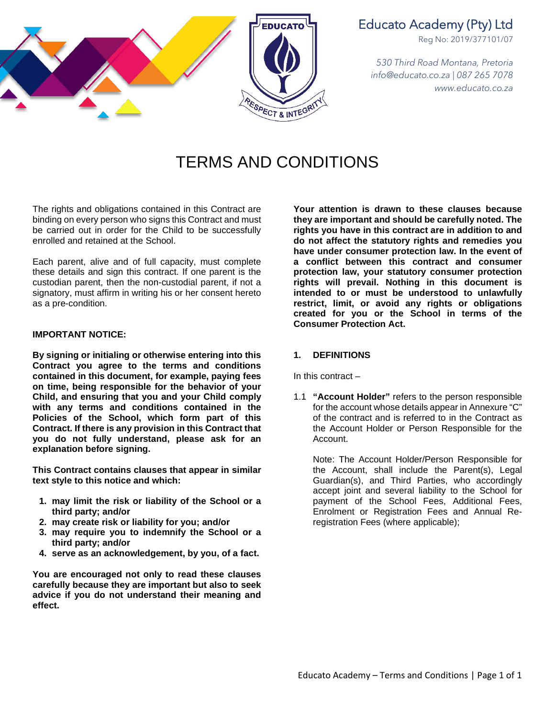

# Educato Academy (Pty) Ltd

Reg No: 2019/377101/07

*530 Third Road Montana, Pretoria info@educato.co.za | 087 265 7078 www.educato.co.za*

# TERMS AND CONDITIONS

The rights and obligations contained in this Contract are binding on every person who signs this Contract and must be carried out in order for the Child to be successfully enrolled and retained at the School.

Each parent, alive and of full capacity, must complete these details and sign this contract. If one parent is the custodian parent, then the non-custodial parent, if not a signatory, must affirm in writing his or her consent hereto as a pre-condition.

#### **IMPORTANT NOTICE:**

**By signing or initialing or otherwise entering into this Contract you agree to the terms and conditions contained in this document, for example, paying fees on time, being responsible for the behavior of your Child, and ensuring that you and your Child comply with any terms and conditions contained in the Policies of the School, which form part of this Contract. If there is any provision in this Contract that you do not fully understand, please ask for an explanation before signing.**

**This Contract contains clauses that appear in similar text style to this notice and which:**

- **1. may limit the risk or liability of the School or a third party; and/or**
- **2. may create risk or liability for you; and/or**
- **3. may require you to indemnify the School or a third party; and/or**
- **4. serve as an acknowledgement, by you, of a fact.**

**You are encouraged not only to read these clauses carefully because they are important but also to seek advice if you do not understand their meaning and effect.**

**Your attention is drawn to these clauses because they are important and should be carefully noted. The rights you have in this contract are in addition to and do not affect the statutory rights and remedies you have under consumer protection law. In the event of a conflict between this contract and consumer protection law, your statutory consumer protection rights will prevail. Nothing in this document is intended to or must be understood to unlawfully restrict, limit, or avoid any rights or obligations created for you or the School in terms of the Consumer Protection Act.**

#### **1. DEFINITIONS**

In this contract –

1.1 **"Account Holder"** refers to the person responsible for the account whose details appear in Annexure "C" of the contract and is referred to in the Contract as the Account Holder or Person Responsible for the Account.

Note: The Account Holder/Person Responsible for the Account, shall include the Parent(s), Legal Guardian(s), and Third Parties, who accordingly accept joint and several liability to the School for payment of the School Fees, Additional Fees, Enrolment or Registration Fees and Annual Reregistration Fees (where applicable);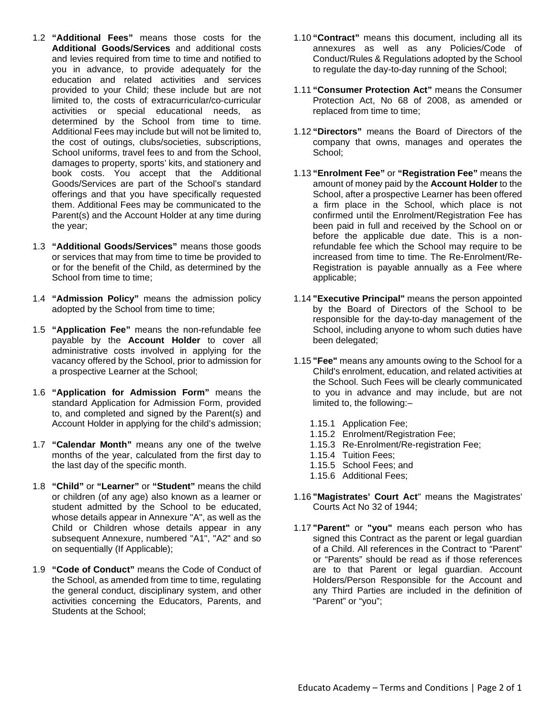- 1.2 **"Additional Fees"** means those costs for the **Additional Goods/Services** and additional costs and levies required from time to time and notified to you in advance, to provide adequately for the education and related activities and services provided to your Child; these include but are not limited to, the costs of extracurricular/co-curricular activities or special educational needs, as determined by the School from time to time. Additional Fees may include but will not be limited to, the cost of outings, clubs/societies, subscriptions, School uniforms, travel fees to and from the School, damages to property, sports' kits, and stationery and book costs. You accept that the Additional Goods/Services are part of the School's standard offerings and that you have specifically requested them. Additional Fees may be communicated to the Parent(s) and the Account Holder at any time during the year;
- 1.3 **"Additional Goods/Services"** means those goods or services that may from time to time be provided to or for the benefit of the Child, as determined by the School from time to time:
- 1.4 **"Admission Policy"** means the admission policy adopted by the School from time to time;
- 1.5 **"Application Fee"** means the non-refundable fee payable by the **Account Holder** to cover all administrative costs involved in applying for the vacancy offered by the School, prior to admission for a prospective Learner at the School;
- 1.6 **"Application for Admission Form"** means the standard Application for Admission Form, provided to, and completed and signed by the Parent(s) and Account Holder in applying for the child's admission;
- 1.7 **"Calendar Month"** means any one of the twelve months of the year, calculated from the first day to the last day of the specific month.
- 1.8 **"Child"** or **"Learner"** or **"Student"** means the child or children (of any age) also known as a learner or student admitted by the School to be educated, whose details appear in Annexure "A", as well as the Child or Children whose details appear in any subsequent Annexure, numbered "A1", "A2" and so on sequentially (If Applicable);
- 1.9 **"Code of Conduct"** means the Code of Conduct of the School, as amended from time to time, regulating the general conduct, disciplinary system, and other activities concerning the Educators, Parents, and Students at the School;
- 1.10 **"Contract"** means this document, including all its annexures as well as any Policies/Code of Conduct/Rules & Regulations adopted by the School to regulate the day-to-day running of the School;
- 1.11 **"Consumer Protection Act"** means the Consumer Protection Act, No 68 of 2008, as amended or replaced from time to time;
- 1.12 **"Directors"** means the Board of Directors of the company that owns, manages and operates the School;
- 1.13 **"Enrolment Fee"** or **"Registration Fee"** means the amount of money paid by the **Account Holder** to the School, after a prospective Learner has been offered a firm place in the School, which place is not confirmed until the Enrolment/Registration Fee has been paid in full and received by the School on or before the applicable due date. This is a nonrefundable fee which the School may require to be increased from time to time. The Re-Enrolment/Re-Registration is payable annually as a Fee where applicable;
- 1.14 **"Executive Principal"** means the person appointed by the Board of Directors of the School to be responsible for the day-to-day management of the School, including anyone to whom such duties have been delegated;
- 1.15 **"Fee"** means any amounts owing to the School for a Child's enrolment, education, and related activities at the School. Such Fees will be clearly communicated to you in advance and may include, but are not limited to, the following:–
	- 1.15.1 Application Fee;
	- 1.15.2 Enrolment/Registration Fee;
	- 1.15.3 Re-Enrolment/Re-registration Fee;
	- 1.15.4 Tuition Fees;
	- 1.15.5 School Fees; and
	- 1.15.6 Additional Fees;
- 1.16 **"Magistrates' Court Act**" means the Magistrates' Courts Act No 32 of 1944;
- 1.17 **"Parent"** or **"you"** means each person who has signed this Contract as the parent or legal guardian of a Child. All references in the Contract to "Parent" or "Parents" should be read as if those references are to that Parent or legal guardian. Account Holders/Person Responsible for the Account and any Third Parties are included in the definition of "Parent" or "you";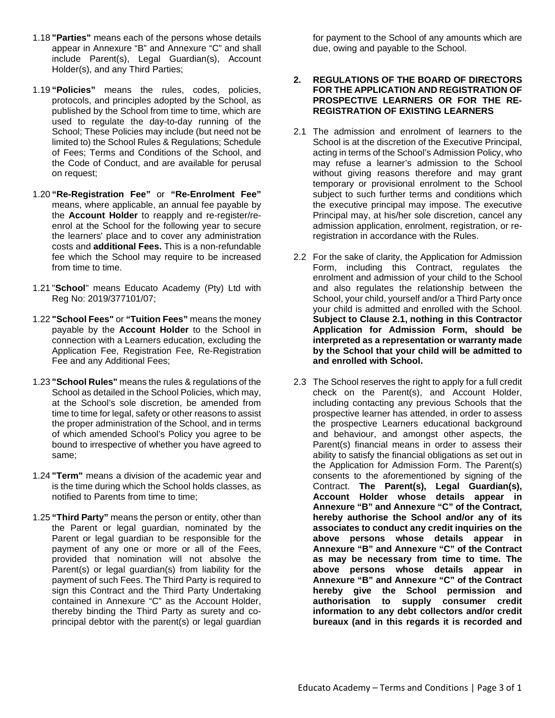- 1.18 **"Parties"** means each of the persons whose details appear in Annexure "B" and Annexure "C" and shall include Parent(s), Legal Guardian(s), Account Holder(s), and any Third Parties;
- 1.19 **"Policies"** means the rules, codes, policies, protocols, and principles adopted by the School, as published by the School from time to time, which are used to regulate the day-to-day running of the School; These Policies may include (but need not be limited to) the School Rules & Regulations; Schedule of Fees; Terms and Conditions of the School, and the Code of Conduct, and are available for perusal on request;
- 1.20 **"Re-Registration Fee"** or **"Re-Enrolment Fee"** means, where applicable, an annual fee payable by the **Account Holder** to reapply and re-register/reenrol at the School for the following year to secure the learners' place and to cover any administration costs and **additional Fees.** This is a non-refundable fee which the School may require to be increased from time to time.
- 1.21 "**School**" means Educato Academy (Pty) Ltd with Reg No: 2019/377101/07;
- 1.22 **"School Fees"** or **"Tuition Fees"** means the money payable by the **Account Holder** to the School in connection with a Learners education, excluding the Application Fee, Registration Fee, Re-Registration Fee and any Additional Fees;
- 1.23 **"School Rules"** means the rules & regulations of the School as detailed in the School Policies, which may, at the School's sole discretion, be amended from time to time for legal, safety or other reasons to assist the proper administration of the School, and in terms of which amended School's Policy you agree to be bound to irrespective of whether you have agreed to same;
- 1.24 **"Term"** means a division of the academic year and is the time during which the School holds classes, as notified to Parents from time to time;
- 1.25 **"Third Party"** means the person or entity, other than the Parent or legal guardian, nominated by the Parent or legal guardian to be responsible for the payment of any one or more or all of the Fees, provided that nomination will not absolve the Parent(s) or legal guardian(s) from liability for the payment of such Fees. The Third Party is required to sign this Contract and the Third Party Undertaking contained in Annexure "C" as the Account Holder, thereby binding the Third Party as surety and coprincipal debtor with the parent(s) or legal guardian

for payment to the School of any amounts which are due, owing and payable to the School.

#### **2. REGULATIONS OF THE BOARD OF DIRECTORS FOR THE APPLICATION AND REGISTRATION OF PROSPECTIVE LEARNERS OR FOR THE RE-REGISTRATION OF EXISTING LEARNERS**

- 2.1 The admission and enrolment of learners to the School is at the discretion of the Executive Principal, acting in terms of the School's Admission Policy, who may refuse a learner's admission to the School without giving reasons therefore and may grant temporary or provisional enrolment to the School subject to such further terms and conditions which the executive principal may impose. The executive Principal may, at his/her sole discretion, cancel any admission application, enrolment, registration, or reregistration in accordance with the Rules.
- 2.2 For the sake of clarity, the Application for Admission Form, including this Contract, regulates the enrolment and admission of your child to the School and also regulates the relationship between the School, your child, yourself and/or a Third Party once your child is admitted and enrolled with the School. **Subject to Clause 2.1, nothing in this Contractor Application for Admission Form, should be interpreted as a representation or warranty made by the School that your child will be admitted to and enrolled with School.**
- 2.3 The School reserves the right to apply for a full credit check on the Parent(s), and Account Holder, including contacting any previous Schools that the prospective learner has attended, in order to assess the prospective Learners educational background and behaviour, and amongst other aspects, the Parent(s) financial means in order to assess their ability to satisfy the financial obligations as set out in the Application for Admission Form. The Parent(s) consents to the aforementioned by signing of the Contract. **The Parent(s), Legal Guardian(s), Account Holder whose details appear in Annexure "B" and Annexure "C" of the Contract, hereby authorise the School and/or any of its associates to conduct any credit inquiries on the above persons whose details appear in Annexure "B" and Annexure "C" of the Contract as may be necessary from time to time. The above persons whose details appear in Annexure "B" and Annexure "C" of the Contract hereby give the School permission and authorisation to supply consumer credit information to any debt collectors and/or credit bureaux (and in this regards it is recorded and**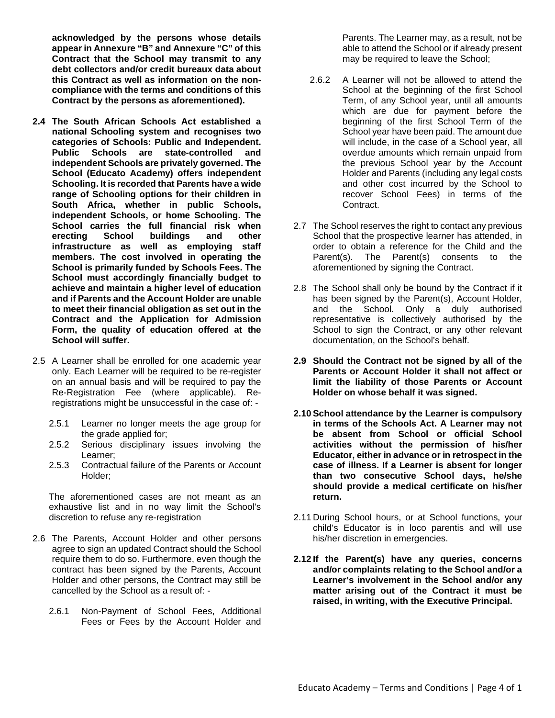**acknowledged by the persons whose details appear in Annexure "B" and Annexure "C" of this Contract that the School may transmit to any debt collectors and/or credit bureaux data about this Contract as well as information on the noncompliance with the terms and conditions of this Contract by the persons as aforementioned).**

- **2.4 The South African Schools Act established a national Schooling system and recognises two categories of Schools: Public and Independent. Public Schools are state-controlled and independent Schools are privately governed. The School (Educato Academy) offers independent Schooling. It is recorded that Parents have a wide range of Schooling options for their children in South Africa, whether in public Schools, independent Schools, or home Schooling. The School carries the full financial risk when buildings infrastructure as well as employing staff members. The cost involved in operating the School is primarily funded by Schools Fees. The School must accordingly financially budget to achieve and maintain a higher level of education and if Parents and the Account Holder are unable to meet their financial obligation as set out in the Contract and the Application for Admission Form, the quality of education offered at the School will suffer.**
- 2.5 A Learner shall be enrolled for one academic year only. Each Learner will be required to be re-register on an annual basis and will be required to pay the Re-Registration Fee (where applicable). Reregistrations might be unsuccessful in the case of: -
	- 2.5.1 Learner no longer meets the age group for the grade applied for;
	- 2.5.2 Serious disciplinary issues involving the Learner;
	- 2.5.3 Contractual failure of the Parents or Account Holder;

The aforementioned cases are not meant as an exhaustive list and in no way limit the School's discretion to refuse any re-registration

- 2.6 The Parents, Account Holder and other persons agree to sign an updated Contract should the School require them to do so. Furthermore, even though the contract has been signed by the Parents, Account Holder and other persons, the Contract may still be cancelled by the School as a result of: -
	- 2.6.1 Non-Payment of School Fees, Additional Fees or Fees by the Account Holder and

Parents. The Learner may, as a result, not be able to attend the School or if already present may be required to leave the School;

- 2.6.2 A Learner will not be allowed to attend the School at the beginning of the first School Term, of any School year, until all amounts which are due for payment before the beginning of the first School Term of the School year have been paid. The amount due will include, in the case of a School year, all overdue amounts which remain unpaid from the previous School year by the Account Holder and Parents (including any legal costs and other cost incurred by the School to recover School Fees) in terms of the Contract.
- 2.7 The School reserves the right to contact any previous School that the prospective learner has attended, in order to obtain a reference for the Child and the Parent(s). The Parent(s) consents to the aforementioned by signing the Contract.
- 2.8 The School shall only be bound by the Contract if it has been signed by the Parent(s), Account Holder, and the School. Only a duly authorised representative is collectively authorised by the School to sign the Contract, or any other relevant documentation, on the School's behalf.
- **2.9 Should the Contract not be signed by all of the Parents or Account Holder it shall not affect or limit the liability of those Parents or Account Holder on whose behalf it was signed.**
- **2.10 School attendance by the Learner is compulsory in terms of the Schools Act. A Learner may not be absent from School or official School activities without the permission of his/her Educator, either in advance or in retrospect in the case of illness. If a Learner is absent for longer than two consecutive School days, he/she should provide a medical certificate on his/her return.**
- 2.11 During School hours, or at School functions, your child's Educator is in loco parentis and will use his/her discretion in emergencies.
- **2.12 If the Parent(s) have any queries, concerns and/or complaints relating to the School and/or a Learner's involvement in the School and/or any matter arising out of the Contract it must be raised, in writing, with the Executive Principal.**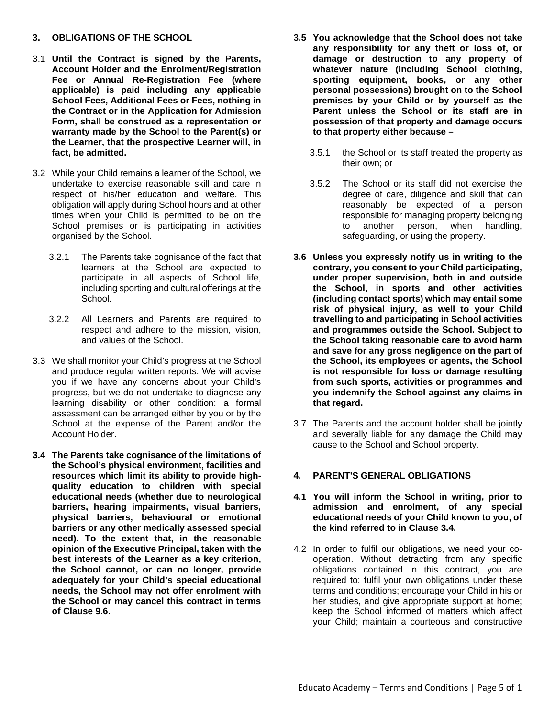#### **3. OBLIGATIONS OF THE SCHOOL**

- 3.1 **Until the Contract is signed by the Parents, Account Holder and the Enrolment/Registration Fee or Annual Re-Registration Fee (where applicable) is paid including any applicable School Fees, Additional Fees or Fees, nothing in the Contract or in the Application for Admission Form, shall be construed as a representation or warranty made by the School to the Parent(s) or the Learner, that the prospective Learner will, in fact, be admitted.**
- 3.2 While your Child remains a learner of the School, we undertake to exercise reasonable skill and care in respect of his/her education and welfare. This obligation will apply during School hours and at other times when your Child is permitted to be on the School premises or is participating in activities organised by the School.
	- 3.2.1 The Parents take cognisance of the fact that learners at the School are expected to participate in all aspects of School life, including sporting and cultural offerings at the School.
	- 3.2.2 All Learners and Parents are required to respect and adhere to the mission, vision, and values of the School.
- 3.3 We shall monitor your Child's progress at the School and produce regular written reports. We will advise you if we have any concerns about your Child's progress, but we do not undertake to diagnose any learning disability or other condition: a formal assessment can be arranged either by you or by the School at the expense of the Parent and/or the Account Holder.
- **3.4 The Parents take cognisance of the limitations of the School's physical environment, facilities and resources which limit its ability to provide highquality education to children with special educational needs (whether due to neurological barriers, hearing impairments, visual barriers, physical barriers, behavioural or emotional barriers or any other medically assessed special need). To the extent that, in the reasonable opinion of the Executive Principal, taken with the best interests of the Learner as a key criterion, the School cannot, or can no longer, provide adequately for your Child's special educational needs, the School may not offer enrolment with the School or may cancel this contract in terms of Clause 9.6.**
- **3.5 You acknowledge that the School does not take any responsibility for any theft or loss of, or damage or destruction to any property of whatever nature (including School clothing, sporting equipment, books, or any other personal possessions) brought on to the School premises by your Child or by yourself as the Parent unless the School or its staff are in possession of that property and damage occurs to that property either because –**
	- 3.5.1 the School or its staff treated the property as their own; or
	- 3.5.2 The School or its staff did not exercise the degree of care, diligence and skill that can reasonably be expected of a person responsible for managing property belonging to another person, when handling, safeguarding, or using the property.
- **3.6 Unless you expressly notify us in writing to the contrary, you consent to your Child participating, under proper supervision, both in and outside the School, in sports and other activities (including contact sports) which may entail some risk of physical injury, as well to your Child travelling to and participating in School activities and programmes outside the School. Subject to the School taking reasonable care to avoid harm and save for any gross negligence on the part of the School, its employees or agents, the School is not responsible for loss or damage resulting from such sports, activities or programmes and you indemnify the School against any claims in that regard.**
- 3.7 The Parents and the account holder shall be jointly and severally liable for any damage the Child may cause to the School and School property.

# **4. PARENT'S GENERAL OBLIGATIONS**

- **4.1 You will inform the School in writing, prior to admission and enrolment, of any special educational needs of your Child known to you, of the kind referred to in Clause 3.4.**
- 4.2 In order to fulfil our obligations, we need your cooperation. Without detracting from any specific obligations contained in this contract, you are required to: fulfil your own obligations under these terms and conditions; encourage your Child in his or her studies, and give appropriate support at home; keep the School informed of matters which affect your Child; maintain a courteous and constructive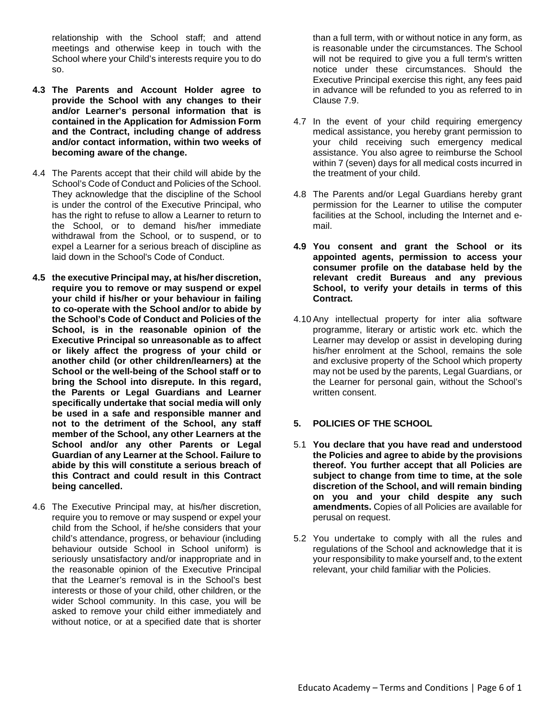relationship with the School staff; and attend meetings and otherwise keep in touch with the School where your Child's interests require you to do so.

- **4.3 The Parents and Account Holder agree to provide the School with any changes to their and/or Learner's personal information that is contained in the Application for Admission Form and the Contract, including change of address and/or contact information, within two weeks of becoming aware of the change.**
- 4.4 The Parents accept that their child will abide by the School's Code of Conduct and Policies of the School. They acknowledge that the discipline of the School is under the control of the Executive Principal, who has the right to refuse to allow a Learner to return to the School, or to demand his/her immediate withdrawal from the School, or to suspend, or to expel a Learner for a serious breach of discipline as laid down in the School's Code of Conduct.
- **4.5 the executive Principal may, at his/her discretion, require you to remove or may suspend or expel your child if his/her or your behaviour in failing to co-operate with the School and/or to abide by the School's Code of Conduct and Policies of the School, is in the reasonable opinion of the Executive Principal so unreasonable as to affect or likely affect the progress of your child or another child (or other children/learners) at the School or the well-being of the School staff or to bring the School into disrepute. In this regard, the Parents or Legal Guardians and Learner specifically undertake that social media will only be used in a safe and responsible manner and not to the detriment of the School, any staff member of the School, any other Learners at the School and/or any other Parents or Legal Guardian of any Learner at the School. Failure to abide by this will constitute a serious breach of this Contract and could result in this Contract being cancelled.**
- 4.6 The Executive Principal may, at his/her discretion, require you to remove or may suspend or expel your child from the School, if he/she considers that your child's attendance, progress, or behaviour (including behaviour outside School in School uniform) is seriously unsatisfactory and/or inappropriate and in the reasonable opinion of the Executive Principal that the Learner's removal is in the School's best interests or those of your child, other children, or the wider School community. In this case, you will be asked to remove your child either immediately and without notice, or at a specified date that is shorter

than a full term, with or without notice in any form, as is reasonable under the circumstances. The School will not be required to give you a full term's written notice under these circumstances. Should the Executive Principal exercise this right, any fees paid in advance will be refunded to you as referred to in Clause 7.9.

- 4.7 In the event of your child requiring emergency medical assistance, you hereby grant permission to your child receiving such emergency medical assistance. You also agree to reimburse the School within 7 (seven) days for all medical costs incurred in the treatment of your child.
- 4.8 The Parents and/or Legal Guardians hereby grant permission for the Learner to utilise the computer facilities at the School, including the Internet and email.
- **4.9 You consent and grant the School or its appointed agents, permission to access your consumer profile on the database held by the relevant credit Bureaus and any previous School, to verify your details in terms of this Contract.**
- 4.10 Any intellectual property for inter alia software programme, literary or artistic work etc. which the Learner may develop or assist in developing during his/her enrolment at the School, remains the sole and exclusive property of the School which property may not be used by the parents, Legal Guardians, or the Learner for personal gain, without the School's written consent.

# **5. POLICIES OF THE SCHOOL**

- 5.1 **You declare that you have read and understood the Policies and agree to abide by the provisions thereof. You further accept that all Policies are subject to change from time to time, at the sole discretion of the School, and will remain binding on you and your child despite any such amendments.** Copies of all Policies are available for perusal on request.
- 5.2 You undertake to comply with all the rules and regulations of the School and acknowledge that it is your responsibility to make yourself and, to the extent relevant, your child familiar with the Policies.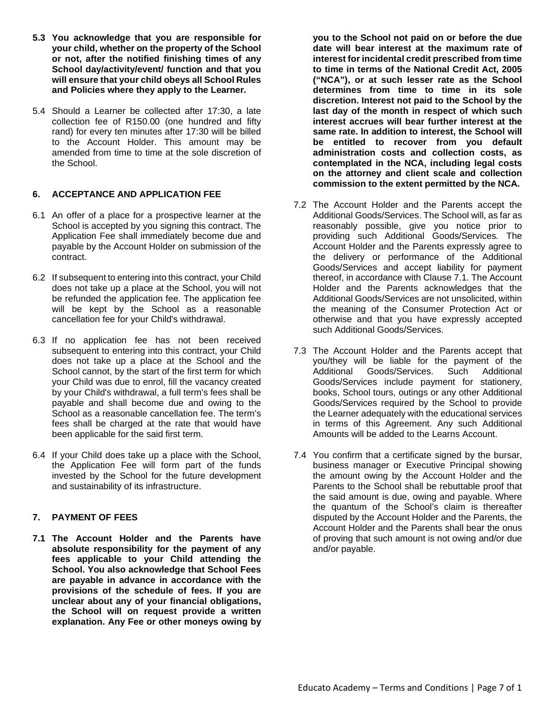- **5.3 You acknowledge that you are responsible for your child, whether on the property of the School or not, after the notified finishing times of any School day/activity/event/ function and that you will ensure that your child obeys all School Rules and Policies where they apply to the Learner.**
- 5.4 Should a Learner be collected after 17:30, a late collection fee of R150.00 (one hundred and fifty rand) for every ten minutes after 17:30 will be billed to the Account Holder. This amount may be amended from time to time at the sole discretion of the School.

# **6. ACCEPTANCE AND APPLICATION FEE**

- 6.1 An offer of a place for a prospective learner at the School is accepted by you signing this contract. The Application Fee shall immediately become due and payable by the Account Holder on submission of the contract.
- 6.2 If subsequent to entering into this contract, your Child does not take up a place at the School, you will not be refunded the application fee. The application fee will be kept by the School as a reasonable cancellation fee for your Child's withdrawal.
- 6.3 If no application fee has not been received subsequent to entering into this contract, your Child does not take up a place at the School and the School cannot, by the start of the first term for which your Child was due to enrol, fill the vacancy created by your Child's withdrawal, a full term's fees shall be payable and shall become due and owing to the School as a reasonable cancellation fee. The term's fees shall be charged at the rate that would have been applicable for the said first term.
- 6.4 If your Child does take up a place with the School, the Application Fee will form part of the funds invested by the School for the future development and sustainability of its infrastructure.

# **7. PAYMENT OF FEES**

**7.1 The Account Holder and the Parents have absolute responsibility for the payment of any fees applicable to your Child attending the School. You also acknowledge that School Fees are payable in advance in accordance with the provisions of the schedule of fees. If you are unclear about any of your financial obligations, the School will on request provide a written explanation. Any Fee or other moneys owing by** 

**you to the School not paid on or before the due date will bear interest at the maximum rate of interest for incidental credit prescribed from time to time in terms of the National Credit Act, 2005 ("NCA"), or at such lesser rate as the School determines from time to time in its sole discretion. Interest not paid to the School by the last day of the month in respect of which such interest accrues will bear further interest at the same rate. In addition to interest, the School will be entitled to recover from you default administration costs and collection costs, as contemplated in the NCA, including legal costs on the attorney and client scale and collection commission to the extent permitted by the NCA.** 

- 7.2 The Account Holder and the Parents accept the Additional Goods/Services. The School will, as far as reasonably possible, give you notice prior to providing such Additional Goods/Services. The Account Holder and the Parents expressly agree to the delivery or performance of the Additional Goods/Services and accept liability for payment thereof, in accordance with Clause 7.1. The Account Holder and the Parents acknowledges that the Additional Goods/Services are not unsolicited, within the meaning of the Consumer Protection Act or otherwise and that you have expressly accepted such Additional Goods/Services.
- 7.3 The Account Holder and the Parents accept that you/they will be liable for the payment of the Additional Goods/Services. Such Additional Goods/Services include payment for stationery, books, School tours, outings or any other Additional Goods/Services required by the School to provide the Learner adequately with the educational services in terms of this Agreement. Any such Additional Amounts will be added to the Learns Account.
- 7.4 You confirm that a certificate signed by the bursar, business manager or Executive Principal showing the amount owing by the Account Holder and the Parents to the School shall be rebuttable proof that the said amount is due, owing and payable. Where the quantum of the School's claim is thereafter disputed by the Account Holder and the Parents, the Account Holder and the Parents shall bear the onus of proving that such amount is not owing and/or due and/or payable.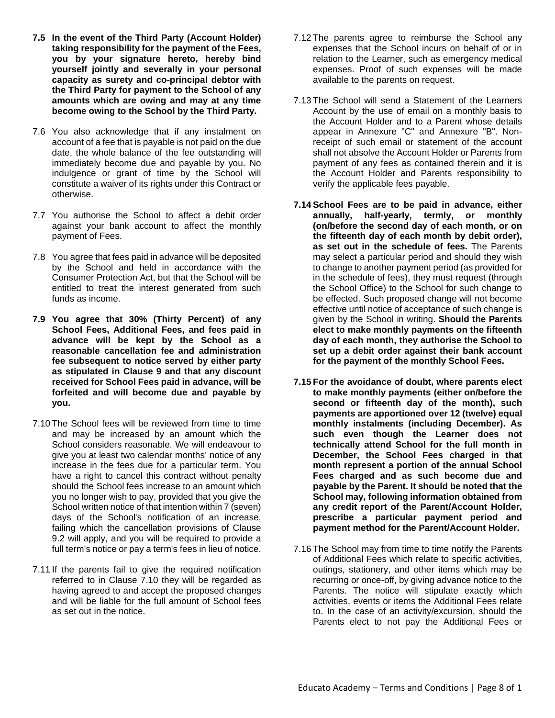- **7.5 In the event of the Third Party (Account Holder) taking responsibility for the payment of the Fees, you by your signature hereto, hereby bind yourself jointly and severally in your personal capacity as surety and co-principal debtor with the Third Party for payment to the School of any amounts which are owing and may at any time become owing to the School by the Third Party.**
- 7.6 You also acknowledge that if any instalment on account of a fee that is payable is not paid on the due date, the whole balance of the fee outstanding will immediately become due and payable by you. No indulgence or grant of time by the School will constitute a waiver of its rights under this Contract or otherwise.
- 7.7 You authorise the School to affect a debit order against your bank account to affect the monthly payment of Fees.
- 7.8 You agree that fees paid in advance will be deposited by the School and held in accordance with the Consumer Protection Act, but that the School will be entitled to treat the interest generated from such funds as income.
- **7.9 You agree that 30% (Thirty Percent) of any School Fees, Additional Fees, and fees paid in advance will be kept by the School as a reasonable cancellation fee and administration fee subsequent to notice served by either party as stipulated in Clause 9 and that any discount received for School Fees paid in advance, will be forfeited and will become due and payable by you.**
- 7.10 The School fees will be reviewed from time to time and may be increased by an amount which the School considers reasonable. We will endeavour to give you at least two calendar months' notice of any increase in the fees due for a particular term. You have a right to cancel this contract without penalty should the School fees increase to an amount which you no longer wish to pay, provided that you give the School written notice of that intention within 7 (seven) days of the School's notification of an increase, failing which the cancellation provisions of Clause 9.2 will apply, and you will be required to provide a full term's notice or pay a term's fees in lieu of notice.
- 7.11 If the parents fail to give the required notification referred to in Clause 7.10 they will be regarded as having agreed to and accept the proposed changes and will be liable for the full amount of School fees as set out in the notice.
- 7.12 The parents agree to reimburse the School any expenses that the School incurs on behalf of or in relation to the Learner, such as emergency medical expenses. Proof of such expenses will be made available to the parents on request.
- 7.13 The School will send a Statement of the Learners Account by the use of email on a monthly basis to the Account Holder and to a Parent whose details appear in Annexure "C" and Annexure "B". Nonreceipt of such email or statement of the account shall not absolve the Account Holder or Parents from payment of any fees as contained therein and it is the Account Holder and Parents responsibility to verify the applicable fees payable.
- **7.14 School Fees are to be paid in advance, either annually, half-yearly, termly, or monthly (on/before the second day of each month, or on the fifteenth day of each month by debit order), as set out in the schedule of fees.** The Parents may select a particular period and should they wish to change to another payment period (as provided for in the schedule of fees), they must request (through the School Office) to the School for such change to be effected. Such proposed change will not become effective until notice of acceptance of such change is given by the School in writing. **Should the Parents elect to make monthly payments on the fifteenth day of each month, they authorise the School to set up a debit order against their bank account for the payment of the monthly School Fees.**
- **7.15 For the avoidance of doubt, where parents elect to make monthly payments (either on/before the second or fifteenth day of the month), such payments are apportioned over 12 (twelve) equal monthly instalments (including December). As such even though the Learner does not technically attend School for the full month in December, the School Fees charged in that month represent a portion of the annual School Fees charged and as such become due and payable by the Parent. It should be noted that the School may, following information obtained from any credit report of the Parent/Account Holder, prescribe a particular payment period and payment method for the Parent/Account Holder.**
- 7.16 The School may from time to time notify the Parents of Additional Fees which relate to specific activities, outings, stationery, and other items which may be recurring or once-off, by giving advance notice to the Parents. The notice will stipulate exactly which activities, events or items the Additional Fees relate to. In the case of an activity/excursion, should the Parents elect to not pay the Additional Fees or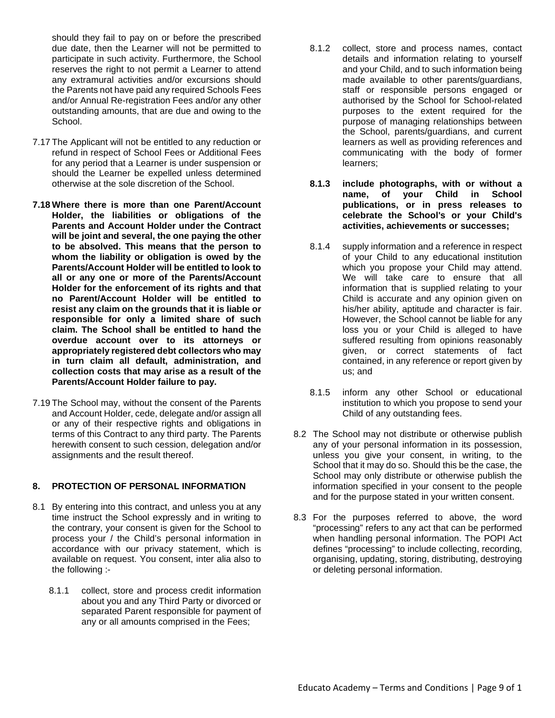should they fail to pay on or before the prescribed due date, then the Learner will not be permitted to participate in such activity. Furthermore, the School reserves the right to not permit a Learner to attend any extramural activities and/or excursions should the Parents not have paid any required Schools Fees and/or Annual Re-registration Fees and/or any other outstanding amounts, that are due and owing to the School.

- 7.17 The Applicant will not be entitled to any reduction or refund in respect of School Fees or Additional Fees for any period that a Learner is under suspension or should the Learner be expelled unless determined otherwise at the sole discretion of the School.
- **7.18 Where there is more than one Parent/Account Holder, the liabilities or obligations of the Parents and Account Holder under the Contract will be joint and several, the one paying the other to be absolved. This means that the person to whom the liability or obligation is owed by the Parents/Account Holder will be entitled to look to all or any one or more of the Parents/Account Holder for the enforcement of its rights and that no Parent/Account Holder will be entitled to resist any claim on the grounds that it is liable or responsible for only a limited share of such claim. The School shall be entitled to hand the overdue account over to its attorneys or appropriately registered debt collectors who may in turn claim all default, administration, and collection costs that may arise as a result of the Parents/Account Holder failure to pay.**
- 7.19 The School may, without the consent of the Parents and Account Holder, cede, delegate and/or assign all or any of their respective rights and obligations in terms of this Contract to any third party. The Parents herewith consent to such cession, delegation and/or assignments and the result thereof.

#### **8. PROTECTION OF PERSONAL INFORMATION**

- 8.1 By entering into this contract, and unless you at any time instruct the School expressly and in writing to the contrary, your consent is given for the School to process your / the Child's personal information in accordance with our privacy statement, which is available on request. You consent, inter alia also to the following :-
	- 8.1.1 collect, store and process credit information about you and any Third Party or divorced or separated Parent responsible for payment of any or all amounts comprised in the Fees;
- 8.1.2 collect, store and process names, contact details and information relating to yourself and your Child, and to such information being made available to other parents/guardians, staff or responsible persons engaged or authorised by the School for School-related purposes to the extent required for the purpose of managing relationships between the School, parents/guardians, and current learners as well as providing references and communicating with the body of former learners;
- **8.1.3 include photographs, with or without a**  name, of your Child in **publications, or in press releases to celebrate the School's or your Child's activities, achievements or successes;**
- 8.1.4 supply information and a reference in respect of your Child to any educational institution which you propose your Child may attend. We will take care to ensure that all information that is supplied relating to your Child is accurate and any opinion given on his/her ability, aptitude and character is fair. However, the School cannot be liable for any loss you or your Child is alleged to have suffered resulting from opinions reasonably given, or correct statements of fact contained, in any reference or report given by us; and
- 8.1.5 inform any other School or educational institution to which you propose to send your Child of any outstanding fees.
- 8.2 The School may not distribute or otherwise publish any of your personal information in its possession, unless you give your consent, in writing, to the School that it may do so. Should this be the case, the School may only distribute or otherwise publish the information specified in your consent to the people and for the purpose stated in your written consent.
- 8.3 For the purposes referred to above, the word "processing" refers to any act that can be performed when handling personal information. The POPI Act defines "processing" to include collecting, recording, organising, updating, storing, distributing, destroying or deleting personal information.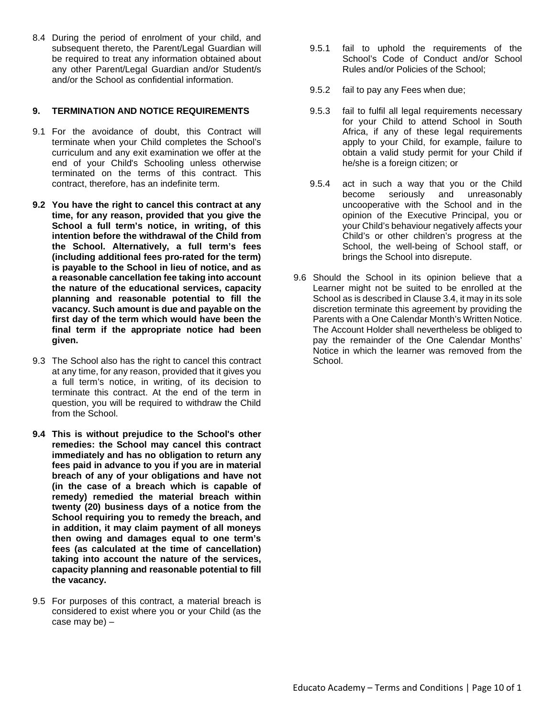8.4 During the period of enrolment of your child, and subsequent thereto, the Parent/Legal Guardian will be required to treat any information obtained about any other Parent/Legal Guardian and/or Student/s and/or the School as confidential information.

# **9. TERMINATION AND NOTICE REQUIREMENTS**

- 9.1 For the avoidance of doubt, this Contract will terminate when your Child completes the School's curriculum and any exit examination we offer at the end of your Child's Schooling unless otherwise terminated on the terms of this contract. This contract, therefore, has an indefinite term.
- **9.2 You have the right to cancel this contract at any time, for any reason, provided that you give the School a full term's notice, in writing, of this intention before the withdrawal of the Child from the School. Alternatively, a full term's fees (including additional fees pro-rated for the term) is payable to the School in lieu of notice, and as a reasonable cancellation fee taking into account the nature of the educational services, capacity planning and reasonable potential to fill the vacancy. Such amount is due and payable on the first day of the term which would have been the final term if the appropriate notice had been given.**
- 9.3 The School also has the right to cancel this contract at any time, for any reason, provided that it gives you a full term's notice, in writing, of its decision to terminate this contract. At the end of the term in question, you will be required to withdraw the Child from the School.
- **9.4 This is without prejudice to the School's other remedies: the School may cancel this contract immediately and has no obligation to return any fees paid in advance to you if you are in material breach of any of your obligations and have not (in the case of a breach which is capable of remedy) remedied the material breach within twenty (20) business days of a notice from the School requiring you to remedy the breach, and in addition, it may claim payment of all moneys then owing and damages equal to one term's fees (as calculated at the time of cancellation) taking into account the nature of the services, capacity planning and reasonable potential to fill the vacancy.**
- 9.5 For purposes of this contract, a material breach is considered to exist where you or your Child (as the case may be) –
- 9.5.1 fail to uphold the requirements of the School's Code of Conduct and/or School Rules and/or Policies of the School;
- 9.5.2 fail to pay any Fees when due;
- 9.5.3 fail to fulfil all legal requirements necessary for your Child to attend School in South Africa, if any of these legal requirements apply to your Child, for example, failure to obtain a valid study permit for your Child if he/she is a foreign citizen; or
- 9.5.4 act in such a way that you or the Child unreasonably uncooperative with the School and in the opinion of the Executive Principal, you or your Child's behaviour negatively affects your Child's or other children's progress at the School, the well-being of School staff, or brings the School into disrepute.
- 9.6 Should the School in its opinion believe that a Learner might not be suited to be enrolled at the School as is described in Clause 3.4, it may in its sole discretion terminate this agreement by providing the Parents with a One Calendar Month's Written Notice. The Account Holder shall nevertheless be obliged to pay the remainder of the One Calendar Months' Notice in which the learner was removed from the School.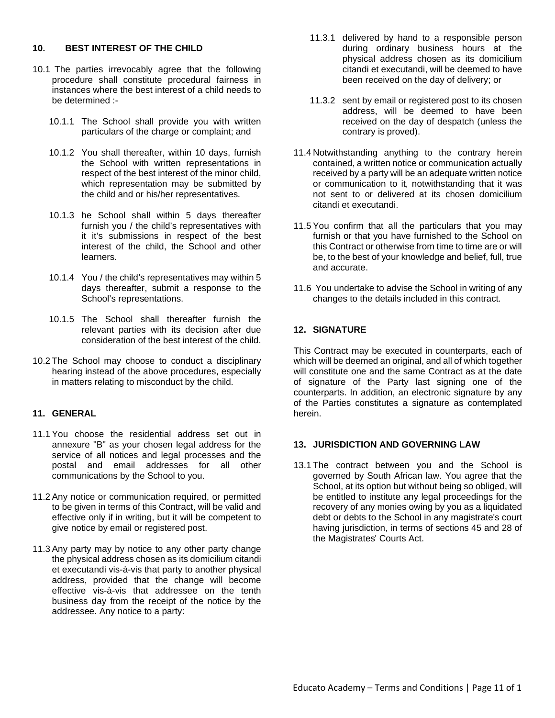#### **10. BEST INTEREST OF THE CHILD**

- 10.1 The parties irrevocably agree that the following procedure shall constitute procedural fairness in instances where the best interest of a child needs to be determined :-
	- 10.1.1 The School shall provide you with written particulars of the charge or complaint; and
	- 10.1.2 You shall thereafter, within 10 days, furnish the School with written representations in respect of the best interest of the minor child, which representation may be submitted by the child and or his/her representatives.
	- 10.1.3 he School shall within 5 days thereafter furnish you / the child's representatives with it it's submissions in respect of the best interest of the child, the School and other learners.
	- 10.1.4 You / the child's representatives may within 5 days thereafter, submit a response to the School's representations.
	- 10.1.5 The School shall thereafter furnish the relevant parties with its decision after due consideration of the best interest of the child.
- 10.2 The School may choose to conduct a disciplinary hearing instead of the above procedures, especially in matters relating to misconduct by the child.

# **11. GENERAL**

- 11.1 You choose the residential address set out in annexure "B" as your chosen legal address for the service of all notices and legal processes and the postal and email addresses for all other communications by the School to you.
- 11.2 Any notice or communication required, or permitted to be given in terms of this Contract, will be valid and effective only if in writing, but it will be competent to give notice by email or registered post.
- 11.3 Any party may by notice to any other party change the physical address chosen as its domicilium citandi et executandi vis-à-vis that party to another physical address, provided that the change will become effective vis-à-vis that addressee on the tenth business day from the receipt of the notice by the addressee. Any notice to a party:
- 11.3.1 delivered by hand to a responsible person during ordinary business hours at the physical address chosen as its domicilium citandi et executandi, will be deemed to have been received on the day of delivery; or
- 11.3.2 sent by email or registered post to its chosen address, will be deemed to have been received on the day of despatch (unless the contrary is proved).
- 11.4 Notwithstanding anything to the contrary herein contained, a written notice or communication actually received by a party will be an adequate written notice or communication to it, notwithstanding that it was not sent to or delivered at its chosen domicilium citandi et executandi.
- 11.5 You confirm that all the particulars that you may furnish or that you have furnished to the School on this Contract or otherwise from time to time are or will be, to the best of your knowledge and belief, full, true and accurate.
- 11.6 You undertake to advise the School in writing of any changes to the details included in this contract.

# **12. SIGNATURE**

This Contract may be executed in counterparts, each of which will be deemed an original, and all of which together will constitute one and the same Contract as at the date of signature of the Party last signing one of the counterparts. In addition, an electronic signature by any of the Parties constitutes a signature as contemplated herein.

#### **13. JURISDICTION AND GOVERNING LAW**

13.1 The contract between you and the School is governed by South African law. You agree that the School, at its option but without being so obliged, will be entitled to institute any legal proceedings for the recovery of any monies owing by you as a liquidated debt or debts to the School in any magistrate's court having jurisdiction, in terms of sections 45 and 28 of the Magistrates' Courts Act.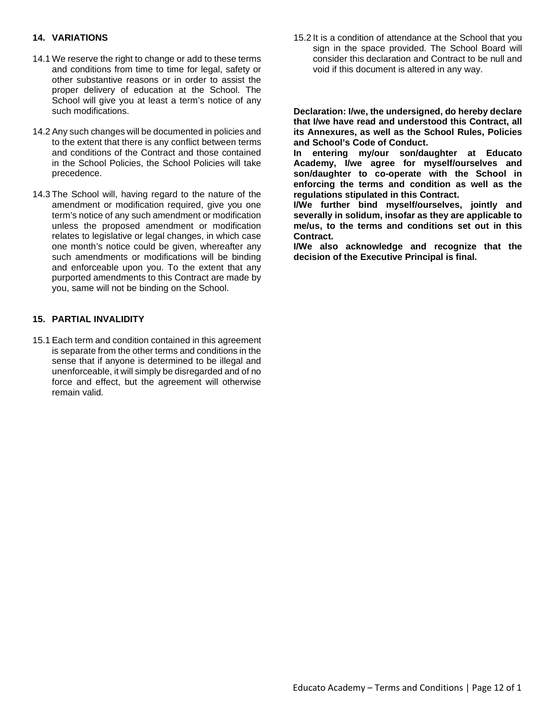#### **14. VARIATIONS**

- 14.1 We reserve the right to change or add to these terms and conditions from time to time for legal, safety or other substantive reasons or in order to assist the proper delivery of education at the School. The School will give you at least a term's notice of any such modifications.
- 14.2 Any such changes will be documented in policies and to the extent that there is any conflict between terms and conditions of the Contract and those contained in the School Policies, the School Policies will take precedence.
- 14.3 The School will, having regard to the nature of the amendment or modification required, give you one term's notice of any such amendment or modification unless the proposed amendment or modification relates to legislative or legal changes, in which case one month's notice could be given, whereafter any such amendments or modifications will be binding and enforceable upon you. To the extent that any purported amendments to this Contract are made by you, same will not be binding on the School.

#### **15. PARTIAL INVALIDITY**

15.1 Each term and condition contained in this agreement is separate from the other terms and conditions in the sense that if anyone is determined to be illegal and unenforceable, it will simply be disregarded and of no force and effect, but the agreement will otherwise remain valid.

15.2 It is a condition of attendance at the School that you sign in the space provided. The School Board will consider this declaration and Contract to be null and void if this document is altered in any way.

**Declaration: I/we, the undersigned, do hereby declare that I/we have read and understood this Contract, all its Annexures, as well as the School Rules, Policies and School's Code of Conduct.**

**In entering my/our son/daughter at Educato Academy, I/we agree for myself/ourselves and son/daughter to co-operate with the School in enforcing the terms and condition as well as the regulations stipulated in this Contract.**

**I/We further bind myself/ourselves, jointly and severally in solidum, insofar as they are applicable to me/us, to the terms and conditions set out in this Contract.**

**I/We also acknowledge and recognize that the decision of the Executive Principal is final.**